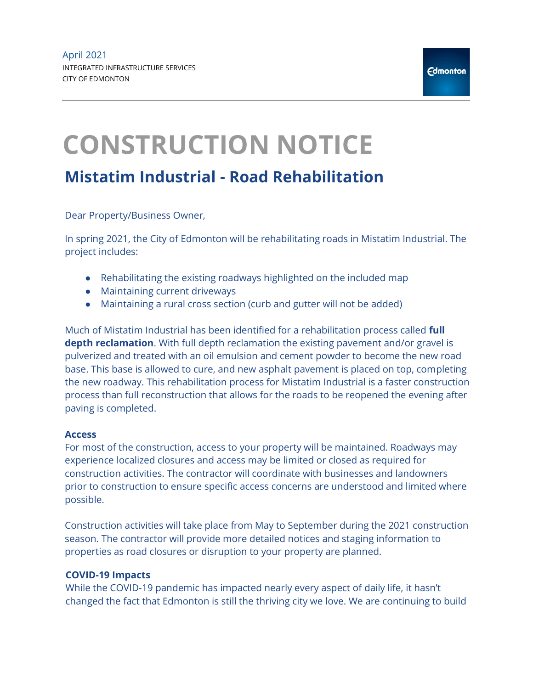## CONSTRUCTION NOTICE

## Mistatim Industrial - Road Rehabilitation

Dear Property/Business Owner,

In spring 2021, the City of Edmonton will be rehabilitating roads in Mistatim Industrial. The project includes:

- Rehabilitating the existing roadways highlighted on the included map
- Maintaining current driveways
- Maintaining a rural cross section (curb and gutter will not be added)

Much of Mistatim Industrial has been identified for a rehabilitation process called full depth reclamation. With full depth reclamation the existing pavement and/or gravel is pulverized and treated with an oil emulsion and cement powder to become the new road base. This base is allowed to cure, and new asphalt pavement is placed on top, completing the new roadway. This rehabilitation process for Mistatim Industrial is a faster construction process than full reconstruction that allows for the roads to be reopened the evening after paving is completed.

## Access

For most of the construction, access to your property will be maintained. Roadways may experience localized closures and access may be limited or closed as required for construction activities. The contractor will coordinate with businesses and landowners prior to construction to ensure specific access concerns are understood and limited where possible.

Construction activities will take place from May to September during the 2021 construction season. The contractor will provide more detailed notices and staging information to properties as road closures or disruption to your property are planned.

## COVID-19 Impacts

While the COVID-19 pandemic has impacted nearly every aspect of daily life, it hasn't changed the fact that Edmonton is still the thriving city we love. We are continuing to build